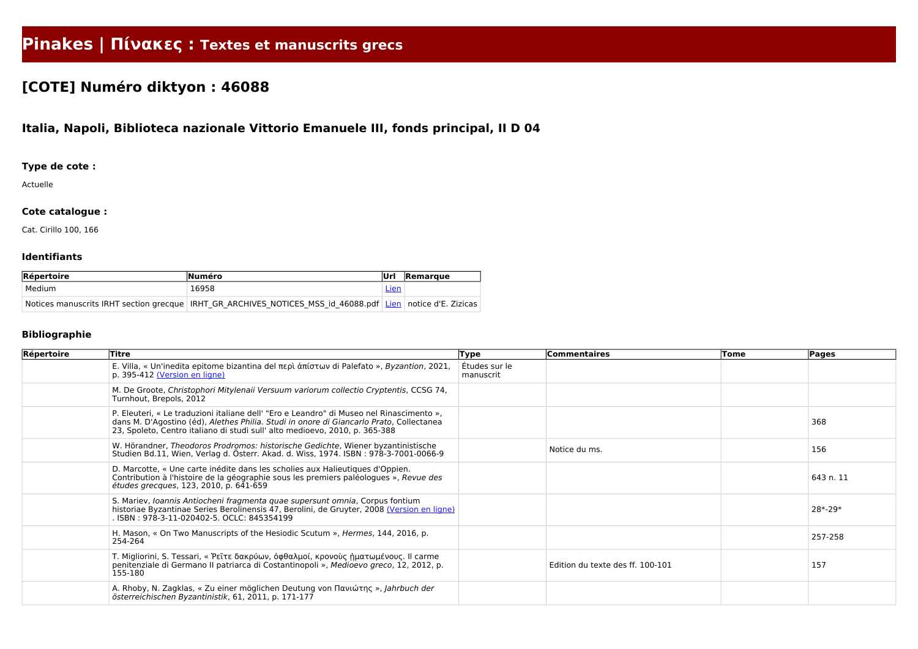# **Pinakes | Πίνακες : Textes et manuscrits grecs**

## **[COTE] Numéro diktyon : 46088**

### **Italia, Napoli, Biblioteca nazionale Vittorio Emanuele III, fonds principal, II D 04**

#### **Type de cote :**

Actuelle

#### **Cote catalogue :**

Cat. Cirillo 100, 166

#### **Identifiants**

| Répertoire | <b>Numéro</b>                                                                                                    | lUrl | Remarque |
|------------|------------------------------------------------------------------------------------------------------------------|------|----------|
| Medium     | 16958                                                                                                            | Lien |          |
|            | Notices manuscrits IRHT section grecque   IRHT GR ARCHIVES NOTICES MSS id 46088.pdf   Lien   notice d'E. Zizicas |      |          |

#### **Bibliographie**

| Répertoire | Titre                                                                                                                                                                                                                                                              | Type                       | <b>Commentaires</b>              | Tome | <b>Pages</b> |
|------------|--------------------------------------------------------------------------------------------------------------------------------------------------------------------------------------------------------------------------------------------------------------------|----------------------------|----------------------------------|------|--------------|
|            | E. Villa, « Un'inedita epitome bizantina del περὶ ἀπίστων di Palefato », Byzantion, 2021,<br>p. 395-412 (Version en ligne)                                                                                                                                         | Études sur le<br>manuscrit |                                  |      |              |
|            | M. De Groote, Christophori Mitylenaii Versuum variorum collectio Cryptentis, CCSG 74,<br>Turnhout, Brepols, 2012                                                                                                                                                   |                            |                                  |      |              |
|            | P. Eleuteri, « Le traduzioni italiane dell' "Ero e Leandro" di Museo nel Rinascimento »,<br>dans M. D'Agostino (éd), Alethes Philia. Studi in onore di Giancarlo Prato, Collectanea<br>23, Spoleto, Centro italiano di studi sull' alto medioevo, 2010, p. 365-388 |                            |                                  |      | 368          |
|            | W. Hörandner, Theodoros Prodromos: historische Gedichte, Wiener byzantinistische<br>Studien Bd.11, Wien, Verlag d. Österr. Akad. d. Wiss, 1974. ISBN: 978-3-7001-0066-9                                                                                            |                            | Notice du ms.                    |      | 156          |
|            | D. Marcotte, « Une carte inédite dans les scholies aux Halieutiques d'Oppien.<br>Contribution à l'histoire de la géographie sous les premiers paléologues », Revue des<br>études grecques, 123, 2010, p. 641-659                                                   |                            |                                  |      | 643 n. 11    |
|            | S. Mariev, Ioannis Antiocheni fragmenta quae supersunt omnia, Corpus fontium<br>historiae Byzantinae Series Berolinensis 47, Berolini, de Gruyter, 2008 (Version en ligne)<br>. ISBN : 978-3-11-020402-5. OCLC: 845354199                                          |                            |                                  |      | 28*-29*      |
|            | H. Mason, « On Two Manuscripts of the Hesiodic Scutum », Hermes, 144, 2016, p.<br>254-264                                                                                                                                                                          |                            |                                  |      | 257-258      |
|            | T. Migliorini, S. Tessari, « Ρεῖτε δακρύων, ὀφθαλμοί, κρονοὺς ἡματωμένους. Il carme<br>penitenziale di Germano II patriarca di Costantinopoli », Medioevo greco, 12, 2012, p.<br>155-180                                                                           |                            | Edition du texte des ff. 100-101 |      | 157          |
|            | A. Rhoby, N. Zagklas, « Zu einer möglichen Deutung von Πανιώτης », Jahrbuch der<br>österreichischen Byzantinistik, 61, 2011, p. 171-177                                                                                                                            |                            |                                  |      |              |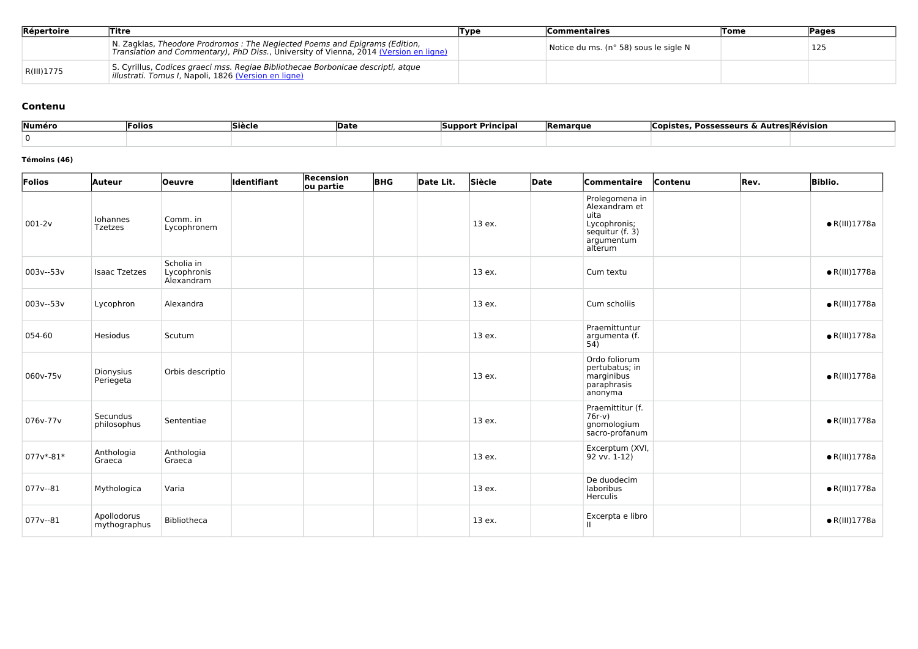| Répertoire | Titre                                                                                                                                                               | Type | <b>Commentaires</b>                   | <b>Tome</b> | Pages |
|------------|---------------------------------------------------------------------------------------------------------------------------------------------------------------------|------|---------------------------------------|-------------|-------|
|            | N. Zagklas, Theodore Prodromos: The Neglected Poems and Epigrams (Edition,<br>Translation and Commentary), PhD Diss., University of Vienna, 2014 (Version en ligne) |      | Notice du ms. (n° 58) sous le sigle N |             | 125   |
| R(III)1775 | S. Cyrillus, Codices graeci mss. Regiae Bibliothecae Borbonicae descripti, atque<br><i>illustrati. Tomus I, Napoli, 1826 (Version en ligne)</i>                     |      |                                       |             |       |

#### **Contenu**

| Numéro | <b>Folios</b> | Siècle | <b>Date</b> | ` Principa.<br><b>Support</b> | <b>Remarque</b> | , Possesseurs & Autres Révision<br>Copister |
|--------|---------------|--------|-------------|-------------------------------|-----------------|---------------------------------------------|
|        |               |        |             |                               |                 |                                             |

#### **Témoins (46)**

| Folios        | <b>Auteur</b>               | Oeuvre                                  | ldentifiant | Recension<br>ou partie | <b>BHG</b> | Date Lit. | Siècle | Date | Commentaire                                                                                         | Contenu | Rev. | <b>Biblio.</b>        |
|---------------|-----------------------------|-----------------------------------------|-------------|------------------------|------------|-----------|--------|------|-----------------------------------------------------------------------------------------------------|---------|------|-----------------------|
| $001 - 2v$    | Iohannes<br><b>Tzetzes</b>  | Comm. in<br>Lycophronem                 |             |                        |            |           | 13 ex. |      | Prolegomena in<br>Alexandram et<br>uita<br>Lycophronis;<br>sequitur (f. 3)<br>argumentum<br>alterum |         |      | $\bullet$ R(III)1778a |
| 003v--53v     | <b>Isaac Tzetzes</b>        | Scholia in<br>Lycophronis<br>Alexandram |             |                        |            |           | 13 ex. |      | Cum textu                                                                                           |         |      | $\bullet$ R(III)1778a |
| 003v--53v     | Lycophron                   | Alexandra                               |             |                        |            |           | 13 ex. |      | Cum scholiis                                                                                        |         |      | $\bullet$ R(III)1778a |
| 054-60        | Hesiodus                    | Scutum                                  |             |                        |            |           | 13 ex. |      | Praemittuntur<br>argumenta (f.<br>54)                                                               |         |      | $\bullet$ R(III)1778a |
| 060v-75v      | Dionysius<br>Periegeta      | Orbis descriptio                        |             |                        |            |           | 13 ex. |      | Ordo foliorum<br>pertubatus; in<br>marginibus<br>paraphrasis<br>anonyma                             |         |      | $\bullet$ R(III)1778a |
| 076v-77v      | Secundus<br>philosophus     | Sententiae                              |             |                        |            |           | 13 ex. |      | Praemittitur (f.<br>$76r-v)$<br>gnomologium<br>sacro-profanum                                       |         |      | $\bullet$ R(III)1778a |
| $077v* - 81*$ | Anthologia<br>Graeca        | Anthologia<br>Graeca                    |             |                        |            |           | 13 ex. |      | Excerptum (XVI,<br>92 vv. 1-12)                                                                     |         |      | $\bullet$ R(III)1778a |
| $077v - 81$   | Mythologica                 | Varia                                   |             |                        |            |           | 13 ex. |      | De duodecim<br>laboribus<br>Herculis                                                                |         |      | $\bullet$ R(III)1778a |
| $077v - 81$   | Apollodorus<br>mythographus | Bibliotheca                             |             |                        |            |           | 13 ex. |      | Excerpta e libro<br>$\mathbf{H}$                                                                    |         |      | $\bullet$ R(III)1778a |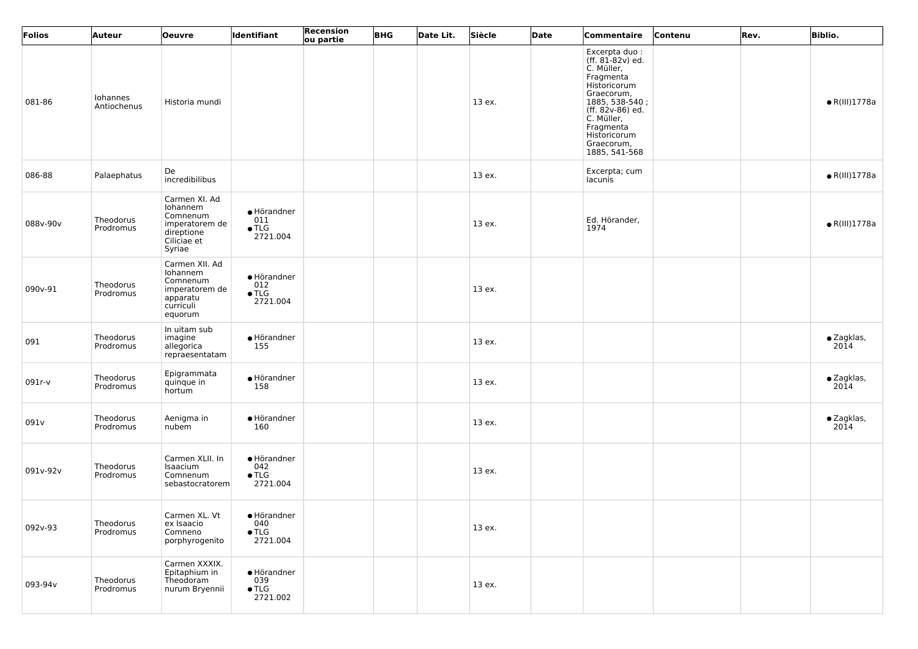| Folios   | Auteur                  | <b>Oeuvre</b>                                                                                  | Identifiant                                     | Recension<br>ou partie | <b>BHG</b> | Date Lit. | Siècle | Date | Commentaire                                                                                                                                                                                                | Contenu | Rev. | <b>Biblio.</b>             |
|----------|-------------------------|------------------------------------------------------------------------------------------------|-------------------------------------------------|------------------------|------------|-----------|--------|------|------------------------------------------------------------------------------------------------------------------------------------------------------------------------------------------------------------|---------|------|----------------------------|
| 081-86   | Iohannes<br>Antiochenus | Historia mundi                                                                                 |                                                 |                        |            |           | 13 ex. |      | Excerpta duo:<br>(ff. 81-82v) ed.<br>C. Müller,<br>Fragmenta<br>Historicorum<br>Graecorum,<br>1885, 538-540;<br>(ff. 82v-86) ed.<br>C. Müller,<br>Fragmenta<br>Historicorum<br>Graecorum,<br>1885, 541-568 |         |      | $\bullet$ R(III)1778a      |
| 086-88   | Palaephatus             | De<br>incredibilibus                                                                           |                                                 |                        |            |           | 13 ex. |      | Excerpta; cum<br>lacunis                                                                                                                                                                                   |         |      | $\bullet$ R(III)1778a      |
| 088v-90v | Theodorus<br>Prodromus  | Carmen XI. Ad<br>Iohannem<br>Comnenum<br>imperatorem de<br>direptione<br>Ciliciae et<br>Syriae | • Hörandner<br>011<br>$\bullet$ TLG<br>2721.004 |                        |            |           | 13 ex. |      | Ed. Hörander,<br>1974                                                                                                                                                                                      |         |      | $\bullet$ R(III)1778a      |
| 090v-91  | Theodorus<br>Prodromus  | Carmen XII. Ad<br>Iohannem<br>Comnenum<br>imperatorem de<br>apparatu<br>curriculi<br>equorum   | • Hörandner<br>012<br>$\bullet$ TLG<br>2721.004 |                        |            |           | 13 ex. |      |                                                                                                                                                                                                            |         |      |                            |
| 091      | Theodorus<br>Prodromus  | In uitam sub<br>imagine<br>allegorica<br>repraesentatam                                        | $\bullet$ Hörandner<br>155                      |                        |            |           | 13 ex. |      |                                                                                                                                                                                                            |         |      | · Zagklas,<br>2014         |
| 091r-v   | Theodorus<br>Prodromus  | Epigrammata<br>quinque in<br>hortum                                                            | • Hörandner<br>158                              |                        |            |           | 13 ex. |      |                                                                                                                                                                                                            |         |      | $\bullet$ Zagklas,<br>2014 |
| 091v     | Theodorus<br>Prodromus  | Aenigma in<br>nubem                                                                            | • Hörandner<br>160                              |                        |            |           | 13 ex. |      |                                                                                                                                                                                                            |         |      | $\bullet$ Zagklas,<br>2014 |
| 091v-92v | Theodorus<br>Prodromus  | Carmen XLII. In<br>Isaacium<br>Comnenum<br>sebastocratorem                                     | · Hörandner<br>042<br>$\bullet$ TLG<br>2721.004 |                        |            |           | 13 ex. |      |                                                                                                                                                                                                            |         |      |                            |
| 092v-93  | Theodorus<br>Prodromus  | Carmen XL. Vt<br>ex Isaacio<br>Comneno<br>porphyrogenito                                       | • Hörandner<br>040<br>$\bullet$ TLG<br>2721.004 |                        |            |           | 13 ex. |      |                                                                                                                                                                                                            |         |      |                            |
| 093-94v  | Theodorus<br>Prodromus  | Carmen XXXIX.<br>Epitaphium in<br>Theodoram<br>nurum Bryennii                                  | · Hörandner<br>039<br>$\bullet$ TLG<br>2721.002 |                        |            |           | 13 ex. |      |                                                                                                                                                                                                            |         |      |                            |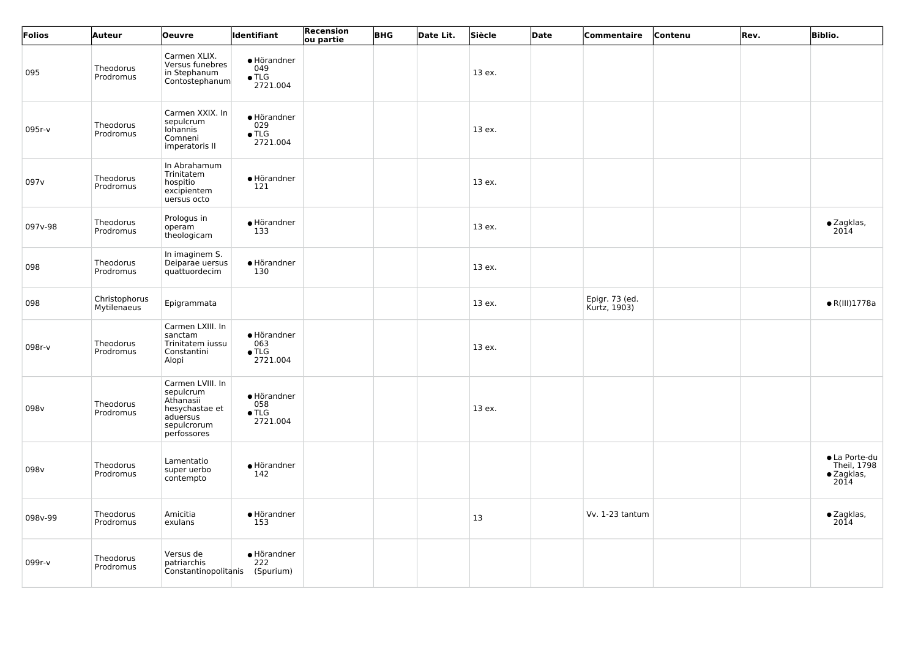| Folios           | Auteur                       | <b>Oeuvre</b>                                                                                          | Identifiant                                     | <b>Recension</b><br>ou partie | <b>BHG</b> | Date Lit. | Siècle | <b>Date</b> | Commentaire                    | Contenu | Rev. | <b>Biblio.</b>                                             |
|------------------|------------------------------|--------------------------------------------------------------------------------------------------------|-------------------------------------------------|-------------------------------|------------|-----------|--------|-------------|--------------------------------|---------|------|------------------------------------------------------------|
| 095              | Theodorus<br>Prodromus       | Carmen XLIX.<br>Versus funebres<br>in Stephanum<br>Contostephanum                                      | · Hörandner<br>049<br>$\bullet$ TLG<br>2721.004 |                               |            |           | 13 ex. |             |                                |         |      |                                                            |
| 095r-v           | Theodorus<br>Prodromus       | Carmen XXIX. In<br>sepulcrum<br>Iohannis<br>Comneni<br>imperatoris II                                  | · Hörandner<br>029<br>$\bullet$ TLG<br>2721.004 |                               |            |           | 13 ex. |             |                                |         |      |                                                            |
| 097 <sub>v</sub> | Theodorus<br>Prodromus       | In Abrahamum<br>Trinitatem<br>hospitio<br>excipientem<br>uersus octo                                   | • Hörandner<br>121                              |                               |            |           | 13 ex. |             |                                |         |      |                                                            |
| 097v-98          | Theodorus<br>Prodromus       | Prologus in<br>operam<br>theologicam                                                                   | • Hörandner<br>133                              |                               |            |           | 13 ex. |             |                                |         |      | $\bullet$ Zagklas,<br>2014                                 |
| 098              | Theodorus<br>Prodromus       | In imaginem S.<br>Deiparae uersus<br>quattuordecim                                                     | · Hörandner<br>130                              |                               |            |           | 13 ex. |             |                                |         |      |                                                            |
| 098              | Christophorus<br>Mytilenaeus | Epigrammata                                                                                            |                                                 |                               |            |           | 13 ex. |             | Epigr. 73 (ed.<br>Kurtz, 1903) |         |      | $\bullet$ R(III)1778a                                      |
| 098r-v           | Theodorus<br>Prodromus       | Carmen LXIII. In<br>sanctam<br>Trinitatem iussu<br>Constantini<br>Alopi                                | • Hörandner<br>063<br>$\bullet$ TLG<br>2721.004 |                               |            |           | 13 ex. |             |                                |         |      |                                                            |
| 098v             | Theodorus<br>Prodromus       | Carmen LVIII. In<br>sepulcrum<br>Athanasii<br>hesychastae et<br>aduersus<br>sepulcrorum<br>perfossores | • Hörandner<br>058<br>$\bullet$ TLG<br>2721.004 |                               |            |           | 13 ex. |             |                                |         |      |                                                            |
| 098v             | Theodorus<br>Prodromus       | Lamentatio<br>super uerbo<br>contempto                                                                 | • Hörandner<br>142                              |                               |            |           |        |             |                                |         |      | • La Porte-du<br>Theil, 1798<br>$\bullet$ Zagklas,<br>20ĭ4 |
| 098v-99          | Theodorus<br>Prodromus       | Amicitia<br>exulans                                                                                    | • Hörandner<br>153                              |                               |            |           | 13     |             | Vv. 1-23 tantum                |         |      | $\bullet$ Zagklas,<br>2014                                 |
| 099r-v           | Theodorus<br>Prodromus       | Versus de<br>patriarchis<br>Constantinopolitanis                                                       | • Hörandner<br>222<br>(Spurium)                 |                               |            |           |        |             |                                |         |      |                                                            |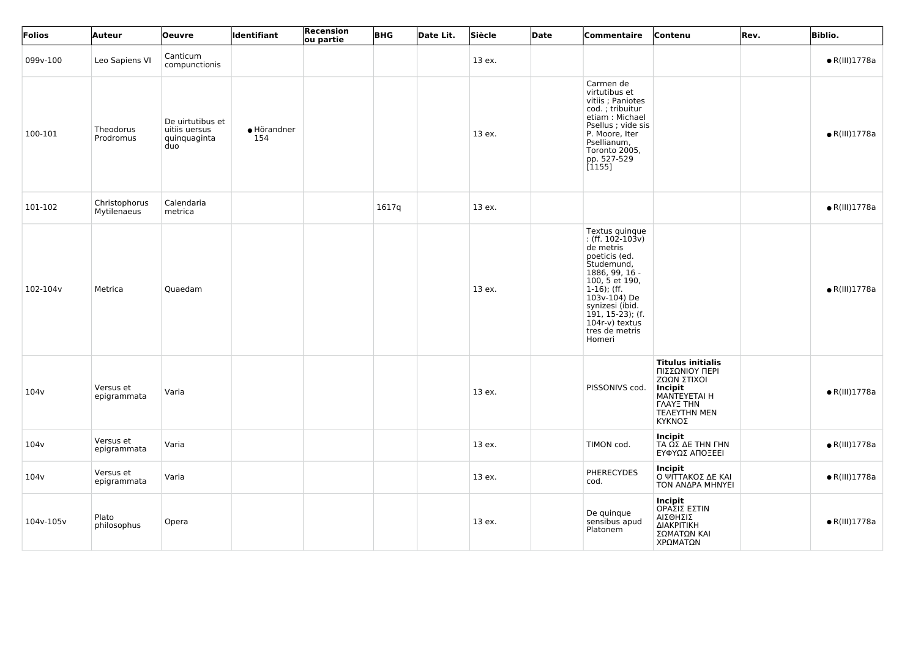| Folios    | Auteur                       | Oeuvre                                                   | <b>Identifiant</b> | <b>Recension</b><br>ou partie | <b>BHG</b> | Date Lit. | Siècle | Date | Commentaire                                                                                                                                                                                                                                       | Contenu                                                                                                                                                 | Rev. | <b>Biblio.</b>        |
|-----------|------------------------------|----------------------------------------------------------|--------------------|-------------------------------|------------|-----------|--------|------|---------------------------------------------------------------------------------------------------------------------------------------------------------------------------------------------------------------------------------------------------|---------------------------------------------------------------------------------------------------------------------------------------------------------|------|-----------------------|
| 099v-100  | Leo Sapiens VI               | Canticum<br>compunctionis                                |                    |                               |            |           | 13 ex. |      |                                                                                                                                                                                                                                                   |                                                                                                                                                         |      | $\bullet$ R(III)1778a |
| 100-101   | Theodorus<br>Prodromus       | De uirtutibus et<br>uitiis uersus<br>quinquaginta<br>duo | • Hörandner<br>154 |                               |            |           | 13 ex. |      | Carmen de<br>virtutibus et<br>vitiis ; Paniotes<br>cod.; tribuitur<br>etiam: Michael<br>Psellus ; vide sis<br>P. Moore, Iter<br>Psellianum,<br>Toronto 2005,<br>pp. 527-529<br>[1155]                                                             |                                                                                                                                                         |      | $\bullet$ R(III)1778a |
| 101-102   | Christophorus<br>Mytilenaeus | Calendaria<br>metrica                                    |                    |                               | 1617q      |           | 13 ex. |      |                                                                                                                                                                                                                                                   |                                                                                                                                                         |      | $\bullet$ R(III)1778a |
| 102-104v  | Metrica                      | Quaedam                                                  |                    |                               |            |           | 13 ex. |      | Textus quinque<br>: (ff. $102 - 103v$ )<br>de metris<br>poeticis (ed.<br>Studemund,<br>1886, 99, 16 -<br>100, 5 et 190,<br>$1-16$ ); (ff.<br>103v-104) De<br>synizesi (ibid.<br>$191, 15-23$ ); (f.<br>104r-v) textus<br>tres de metris<br>Homeri |                                                                                                                                                         |      | $\bullet$ R(III)1778a |
| 104v      | Versus et<br>epigrammata     | Varia                                                    |                    |                               |            |           | 13 ex. |      | PISSONIVS cod.                                                                                                                                                                                                                                    | <b>Titulus initialis</b><br>ΠΙΣΣΩΝΙΟΥ ΠΕΡΙ<br>ΖΩΩΝ ΣΤΙΧΟΙ<br><b>Incipit</b><br>MANTEYETAI H<br><b><i>LAAYE THN</i></b><br><b>TEAEYTHN MEN</b><br>ΚΥΚΝΟΣ |      | $\bullet$ R(III)1778a |
| 104v      | Versus et<br>epigrammata     | Varia                                                    |                    |                               |            |           | 13 ex. |      | TIMON cod.                                                                                                                                                                                                                                        | Incipit<br>ΤΑ ΩΣ ΔΕ ΤΗΝ ΓΗΝ<br>ΕΥΦΥΩΣ ΑΠΟΞΕΕΙ                                                                                                           |      | $\bullet$ R(III)1778a |
| 104v      | Versus et<br>epigrammata     | Varia                                                    |                    |                               |            |           | 13 ex. |      | <b>PHERECYDES</b><br>cod.                                                                                                                                                                                                                         | <b>Incipit</b><br>Ο ΨΙΤΤΑΚΟΣ ΔΕ ΚΑΙ<br>ΤΟΝ ΑΝΔΡΑ ΜΗΝΥΕΙ                                                                                                 |      | $\bullet$ R(III)1778a |
| 104v-105v | Plato<br>philosophus         | Opera                                                    |                    |                               |            |           | 13 ex. |      | De quinque<br>sensibus apud<br>Platonem                                                                                                                                                                                                           | Incipit<br>ΟΡΑΣΙΣ ΕΣΤΙΝ<br>ΑΙΣΘΗΣΙΣ<br>ΔΙΑΚΡΙΤΙΚΗ<br>ΣΩΜΑΤΩΝ ΚΑΙ<br>ΧΡΩΜΑΤΩΝ                                                                            |      | $\bullet$ R(III)1778a |